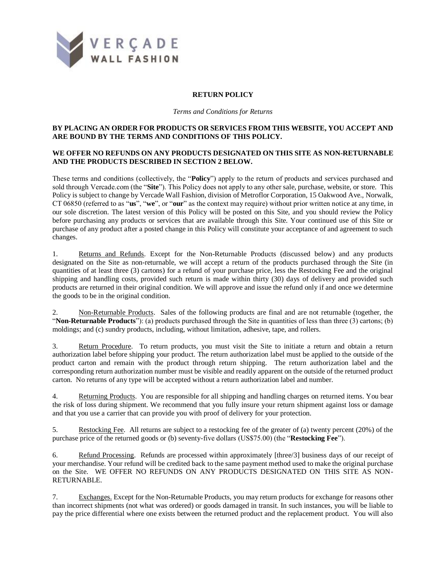

## **RETURN POLICY**

*Terms and Conditions for Returns*

## **BY PLACING AN ORDER FOR PRODUCTS OR SERVICES FROM THIS WEBSITE, YOU ACCEPT AND ARE BOUND BY THE TERMS AND CONDITIONS OF THIS POLICY.**

## **WE OFFER NO REFUNDS ON ANY PRODUCTS DESIGNATED ON THIS SITE AS NON-RETURNABLE AND THE PRODUCTS DESCRIBED IN SECTION 2 BELOW.**

These terms and conditions (collectively, the "**Policy**") apply to the return of products and services purchased and sold through Vercade.com (the "**Site**"). This Policy does not apply to any other sale, purchase, website, or store. This Policy is subject to change by Vercade Wall Fashion, division of Metroflor Corporation, 15 Oakwood Ave., Norwalk, CT 06850 (referred to as "**us**", "**we**", or "**our**" as the context may require) without prior written notice at any time, in our sole discretion. The latest version of this Policy will be posted on this Site, and you should review the Policy before purchasing any products or services that are available through this Site. Your continued use of this Site or purchase of any product after a posted change in this Policy will constitute your acceptance of and agreement to such changes.

1. Returns and Refunds. Except for the Non-Returnable Products (discussed below) and any products designated on the Site as non-returnable, we will accept a return of the products purchased through the Site (in quantities of at least three (3) cartons) for a refund of your purchase price, less the Restocking Fee and the original shipping and handling costs, provided such return is made within thirty (30) days of delivery and provided such products are returned in their original condition. We will approve and issue the refund only if and once we determine the goods to be in the original condition.

2. Non-Returnable Products. Sales of the following products are final and are not returnable (together, the "**Non-Returnable Products**"): (a) products purchased through the Site in quantities of less than three (3) cartons; (b) moldings; and (c) sundry products, including, without limitation, adhesive, tape, and rollers.

3. Return Procedure. To return products, you must visit the Site to initiate a return and obtain a return authorization label before shipping your product. The return authorization label must be applied to the outside of the product carton and remain with the product through return shipping. The return authorization label and the corresponding return authorization number must be visible and readily apparent on the outside of the returned product carton. No returns of any type will be accepted without a return authorization label and number.

4. Returning Products. You are responsible for all shipping and handling charges on returned items. You bear the risk of loss during shipment. We recommend that you fully insure your return shipment against loss or damage and that you use a carrier that can provide you with proof of delivery for your protection.

5. Restocking Fee. All returns are subject to a restocking fee of the greater of (a) twenty percent (20%) of the purchase price of the returned goods or (b) seventy-five dollars (US\$75.00) (the "**Restocking Fee**").

6. Refund Processing. Refunds are processed within approximately [three/3] business days of our receipt of your merchandise. Your refund will be credited back to the same payment method used to make the original purchase on the Site. WE OFFER NO REFUNDS ON ANY PRODUCTS DESIGNATED ON THIS SITE AS NON-RETURNABLE.

7. Exchanges. Except for the Non-Returnable Products, you may return products for exchange for reasons other than incorrect shipments (not what was ordered) or goods damaged in transit. In such instances, you will be liable to pay the price differential where one exists between the returned product and the replacement product. You will also